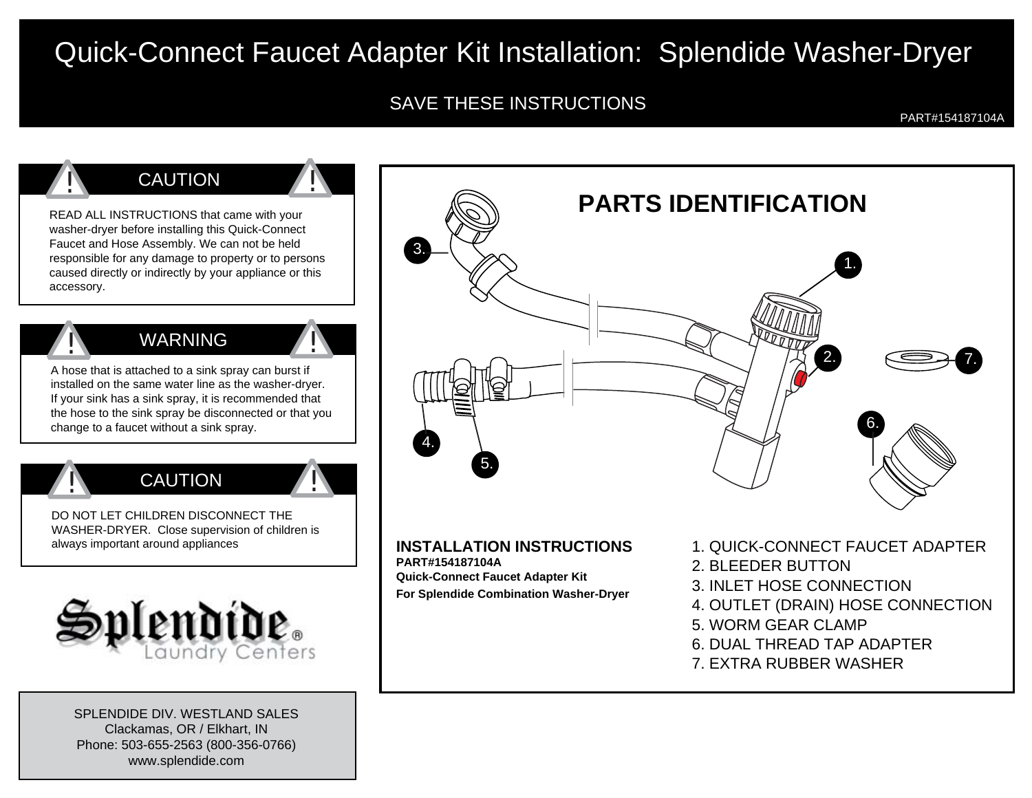# Quick-Connect Faucet Adapter Kit Installation: Splendide Washer-Dryer

### SAVE THESE INSTRUCTIONS

PART#154187104A



SPLENDIDE DIV. WESTLAND SALESClackamas, OR / Elkhart, IN Phone: 503-655-2563 (800-356-0766) www.splendide.com